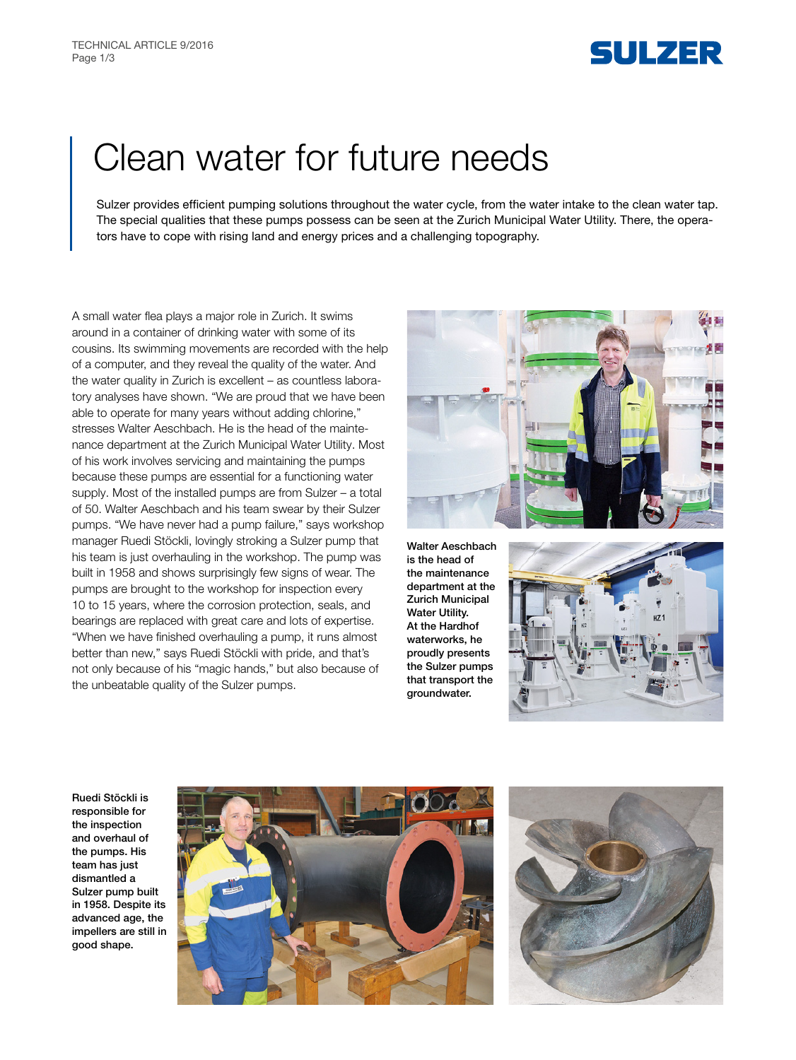

# Clean water for future needs

Sulzer provides efficient pumping solutions throughout the water cycle, from the water intake to the clean water tap. The special qualities that these pumps possess can be seen at the Zurich Municipal Water Utility. There, the operators have to cope with rising land and energy prices and a challenging topography.

A small water flea plays a major role in Zurich. It swims around in a container of drinking water with some of its cousins. Its swimming movements are recorded with the help of a computer, and they reveal the quality of the water. And the water quality in Zurich is excellent – as countless laboratory analyses have shown. "We are proud that we have been able to operate for many years without adding chlorine," stresses Walter Aeschbach. He is the head of the maintenance department at the Zurich Municipal Water Utility. Most of his work involves servicing and maintaining the pumps because these pumps are essential for a functioning water supply. Most of the installed pumps are from Sulzer – a total of 50. Walter Aeschbach and his team swear by their Sulzer pumps. "We have never had a pump failure," says workshop manager Ruedi Stöckli, lovingly stroking a Sulzer pump that his team is just overhauling in the workshop. The pump was built in 1958 and shows surprisingly few signs of wear. The pumps are brought to the workshop for inspection every 10 to 15 years, where the corrosion protection, seals, and bearings are replaced with great care and lots of expertise. "When we have finished overhauling a pump, it runs almost better than new," says Ruedi Stöckli with pride, and that's not only because of his "magic hands," but also because of the unbeatable quality of the Sulzer pumps.



Walter Aeschbach is the head of the maintenance department at the Zurich Municipal Water Utility. At the Hardhof waterworks, he proudly presents the Sulzer pumps that transport the groundwater.



Ruedi Stöckli is responsible for the inspection and overhaul of the pumps. His team has just dismantled a Sulzer pump built in 1958. Despite its advanced age, the impellers are still in good shape.



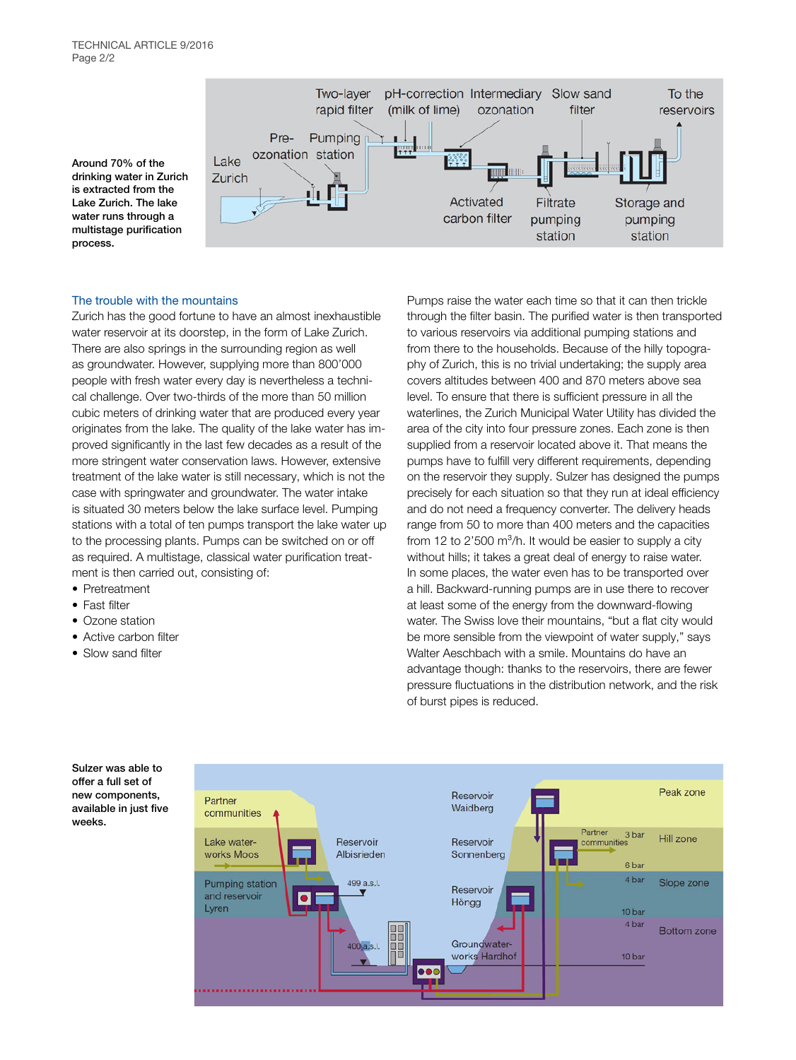Around 70% of the drinking water in Zurich is extracted from the Lake Zurich. The lake water runs through a multistage purification process.



## The trouble with the mountains

Zurich has the good fortune to have an almost inexhaustible water reservoir at its doorstep, in the form of Lake Zurich. There are also springs in the surrounding region as well as groundwater. However, supplying more than 800'000 people with fresh water every day is nevertheless a technical challenge. Over two-thirds of the more than 50 million cubic meters of drinking water that are produced every year originates from the lake. The quality of the lake water has improved significantly in the last few decades as a result of the more stringent water conservation laws. However, extensive treatment of the lake water is still necessary, which is not the case with springwater and groundwater. The water intake is situated 30 meters below the lake surface level. Pumping stations with a total of ten pumps transport the lake water up to the processing plants. Pumps can be switched on or off as required. A multistage, classical water purification treatment is then carried out, consisting of:

- Pretreatment
- Fast filter
- Ozone station
- Active carbon filter
- Slow sand filter

Pumps raise the water each time so that it can then trickle through the filter basin. The purified water is then transported to various reservoirs via additional pumping stations and from there to the households. Because of the hilly topography of Zurich, this is no trivial undertaking; the supply area covers altitudes between 400 and 870 meters above sea level. To ensure that there is sufficient pressure in all the waterlines, the Zurich Municipal Water Utility has divided the area of the city into four pressure zones. Each zone is then supplied from a reservoir located above it. That means the pumps have to fulfill very different requirements, depending on the reservoir they supply. Sulzer has designed the pumps precisely for each situation so that they run at ideal efficiency and do not need a frequency converter. The delivery heads range from 50 to more than 400 meters and the capacities from 12 to 2'500  $\mathrm{m}^3$ /h. It would be easier to supply a city without hills; it takes a great deal of energy to raise water. In some places, the water even has to be transported over a hill. Backward-running pumps are in use there to recover at least some of the energy from the downward-flowing water. The Swiss love their mountains, "but a flat city would be more sensible from the viewpoint of water supply," says Walter Aeschbach with a smile. Mountains do have an advantage though: thanks to the reservoirs, there are fewer pressure fluctuations in the distribution network, and the risk of burst pipes is reduced.